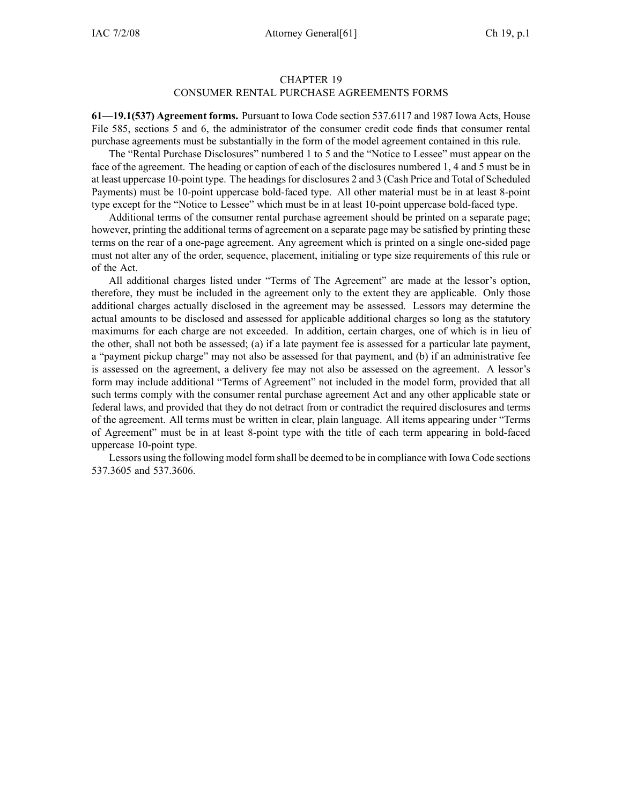## CHAPTER 19 CONSUMER RENTAL PURCHASE AGREEMENTS FORMS

**61—19.1(537) Agreement forms.** Pursuant to Iowa Code section 537.6117 and 1987 Iowa Acts, House File 585, sections 5 and 6, the administrator of the consumer credit code finds that consumer rental purchase agreements must be substantially in the form of the model agreemen<sup>t</sup> contained in this rule.

The "Rental Purchase Disclosures" numbered 1 to 5 and the "Notice to Lessee" must appear on the face of the agreement. The heading or caption of each of the disclosures numbered 1, 4 and 5 must be in at least uppercase 10-point type. The headings for disclosures 2 and 3 (Cash Price and Total of Scheduled Payments) must be 10-point uppercase bold-faced type. All other material must be in at least 8-point type excep<sup>t</sup> for the "Notice to Lessee" which must be in at least 10-point uppercase bold-faced type.

Additional terms of the consumer rental purchase agreemen<sup>t</sup> should be printed on <sup>a</sup> separate page; however, printing the additional terms of agreemen<sup>t</sup> on <sup>a</sup> separate page may be satisfied by printing these terms on the rear of <sup>a</sup> one-page agreement. Any agreemen<sup>t</sup> which is printed on <sup>a</sup> single one-sided page must not alter any of the order, sequence, placement, initialing or type size requirements of this rule or of the Act.

All additional charges listed under "Terms of The Agreement" are made at the lessor's option, therefore, they must be included in the agreemen<sup>t</sup> only to the extent they are applicable. Only those additional charges actually disclosed in the agreemen<sup>t</sup> may be assessed. Lessors may determine the actual amounts to be disclosed and assessed for applicable additional charges so long as the statutory maximums for each charge are not exceeded. In addition, certain charges, one of which is in lieu of the other, shall not both be assessed; (a) if <sup>a</sup> late paymen<sup>t</sup> fee is assessed for <sup>a</sup> particular late payment, <sup>a</sup> "payment pickup charge" may not also be assessed for that payment, and (b) if an administrative fee is assessed on the agreement, <sup>a</sup> delivery fee may not also be assessed on the agreement. A lessor's form may include additional "Terms of Agreement" not included in the model form, provided that all such terms comply with the consumer rental purchase agreemen<sup>t</sup> Act and any other applicable state or federal laws, and provided that they do not detract from or contradict the required disclosures and terms of the agreement. All terms must be written in clear, plain language. All items appearing under "Terms of Agreement" must be in at least 8-point type with the title of each term appearing in bold-faced uppercase 10-point type.

Lessors using the following model form shall be deemed to be in compliance with Iowa Code sections 537.3605 and 537.3606.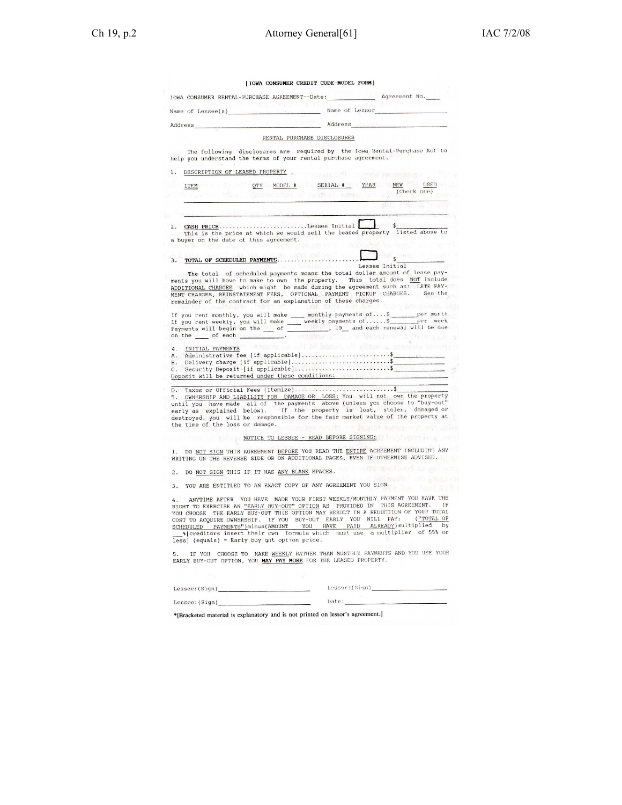| [IOWA CONSUMER CREDIT CODE-MODEL FORM]                                                                                                                                                                                                                          |                                                                                                                                                                                                                                                                                                                                                                                                                                                                                                                           |
|-----------------------------------------------------------------------------------------------------------------------------------------------------------------------------------------------------------------------------------------------------------------|---------------------------------------------------------------------------------------------------------------------------------------------------------------------------------------------------------------------------------------------------------------------------------------------------------------------------------------------------------------------------------------------------------------------------------------------------------------------------------------------------------------------------|
|                                                                                                                                                                                                                                                                 | JOWA CONSUMER RENTAL-PURCHASE AGREEMENT--Date: Agreement No.                                                                                                                                                                                                                                                                                                                                                                                                                                                              |
| 4. 情報 (大変)科<br>Name of Lessee(s)                                                                                                                                                                                                                                | -985<br>Name of Lessor                                                                                                                                                                                                                                                                                                                                                                                                                                                                                                    |
| $\mathbb{Z} = \mathbb{Z}^{\mathbb{Z}} \subset \mathbb{R}^{\mathbb{Z}}$ if $\mathbb{Z}$<br>Address                                                                                                                                                               | Address                                                                                                                                                                                                                                                                                                                                                                                                                                                                                                                   |
|                                                                                                                                                                                                                                                                 | RENTAL PURCHASE DISCLOSURES                                                                                                                                                                                                                                                                                                                                                                                                                                                                                               |
| help you understand the terms of your rental purchase agreement.                                                                                                                                                                                                | The following disclosures are required by the Iowa Rental-Purchase Act to                                                                                                                                                                                                                                                                                                                                                                                                                                                 |
| DESCRIPTION OF LEASED PROPERTY                                                                                                                                                                                                                                  | · 美国新闻学院 "我 -- 中国的国家 基础的建筑器等                                                                                                                                                                                                                                                                                                                                                                                                                                                                                              |
| <b>ITEM</b>                                                                                                                                                                                                                                                     | QTY MODEL # SERIAL # YEAR NEW USED<br>(Check one)                                                                                                                                                                                                                                                                                                                                                                                                                                                                         |
|                                                                                                                                                                                                                                                                 | Neuvon alban al sangua, a senera la nazi                                                                                                                                                                                                                                                                                                                                                                                                                                                                                  |
|                                                                                                                                                                                                                                                                 |                                                                                                                                                                                                                                                                                                                                                                                                                                                                                                                           |
| 2. CASH PRICELessee Initial<br>a buyer on the date of this agreement.                                                                                                                                                                                           | This is the price at which we would sell the leased property listed above to<br>START BERTH AND THE START                                                                                                                                                                                                                                                                                                                                                                                                                 |
| 3.                                                                                                                                                                                                                                                              |                                                                                                                                                                                                                                                                                                                                                                                                                                                                                                                           |
| remainder of the contract for an explanation of these charges.                                                                                                                                                                                                  | Lessee Initial<br><b>MARKET</b><br>The total of scheduled payments means the total dollar amount of lease pay-<br>ments you will have to make to own the property. This total does NOT include<br>ADDITIONAL CHARGES which might be made during the agreement such as: LATE PAY-<br>MENT CHARGES, REINSTATEMENT FEES, OPTIONAL PAYMENT PICKUP CHARGES. See the<br><b>THE REAL PROPERTY</b>                                                                                                                                |
|                                                                                                                                                                                                                                                                 | If you rent monthly, you will make ____ monthly payments of  \$ _________ per month                                                                                                                                                                                                                                                                                                                                                                                                                                       |
|                                                                                                                                                                                                                                                                 | 2 10 在整个数据中的 10 1 2 2 15 16 2 2 2                                                                                                                                                                                                                                                                                                                                                                                                                                                                                         |
|                                                                                                                                                                                                                                                                 | Delivery charge [if applicable]\$<br>C. Security Deposit [if applicable]\$                                                                                                                                                                                                                                                                                                                                                                                                                                                |
|                                                                                                                                                                                                                                                                 | 4. INITIAL PAYMENTS IN COLORADOR AT DE DORREL AND STRAND A BOSTON MARCHINE<br>5. OMNERSHIP AND LIABILITY FOR DAMAGE OR LOSS: You will not own the property until you have made all of the payments above (unless you choose to "buy-out" early as explained below). If the property is lost, stolen, damaged<br>destroyed, you will be responsible for the fair market value of the property at                                                                                                                           |
|                                                                                                                                                                                                                                                                 | NOTICE TO LESSEE - READ BEFORE SIGNING:                                                                                                                                                                                                                                                                                                                                                                                                                                                                                   |
|                                                                                                                                                                                                                                                                 | WRITING ON THE REVERSE SIDE OR ON ADDITIONAL PAGES, EVEN IF OTHERWISE ADVISED.                                                                                                                                                                                                                                                                                                                                                                                                                                            |
|                                                                                                                                                                                                                                                                 |                                                                                                                                                                                                                                                                                                                                                                                                                                                                                                                           |
| on the set of each search and the temperature<br>B.<br>Deposit will be returned under these conditions:<br>D. Taxes or Official Fees (Itemize)\$<br>the time of the loss or damage.<br>2.<br>YOU ARE ENTITLED TO AN EXACT COPY OF ANY AGREEMENT YOU SIGN.<br>3. | DO NOT SIGN THIS IF IT HAS ANY BLANK SPACES.<br>通信的 网络一个                                                                                                                                                                                                                                                                                                                                                                                                                                                                  |
| 4.<br>less] (equals) = Early buy out option price.                                                                                                                                                                                                              | RIGHT TO EXERCISE AN "EARLY BUY-OUT" OPTION AS PROVIDED IN THIS AGREEMENT.<br>SCHEDULED PAYMENTS")minus(AMOUNT YOU HAVE PAID ALREADY)multiplied                                                                                                                                                                                                                                                                                                                                                                           |
| 5.<br>EARLY BUY-OUT OPTION, YOU MAY PAY MORE FOR THE LEASED PROPERTY.                                                                                                                                                                                           |                                                                                                                                                                                                                                                                                                                                                                                                                                                                                                                           |
| $\sim$ $\sim$ $\sim$                                                                                                                                                                                                                                            | 1. DO NOT SIGN THIS AGREEMENT BEFORE YOU READ THE ENTIRE AGREEMENT INCLUDING ANY<br>ANYTIME AFTER YOU HAVE MADE YOUR FIRST WEEKLY/MONTHLY PAYMENT YOU HAVE THE<br>IF<br>YOU CHOOSE THE EARLY BUY-OUT THIS OPTION MAY RESULT IN A REDUCTION OF YOUR TOTAL<br>COST TO ACQUIRE OWNERSHIP. IF YOU BUY-OUT EARLY YOU WILL PAY: ("TOTAL OF<br>by<br>\$[creditors insert their own formula which must use a multiplier of 55% or<br>IF YOU CHOOSE TO MAKE WEEKLY RATHER THAN MONTHLY PAYMENTS AND YOU USE YOUR<br>$\mathbb{R}^n$ |
|                                                                                                                                                                                                                                                                 |                                                                                                                                                                                                                                                                                                                                                                                                                                                                                                                           |